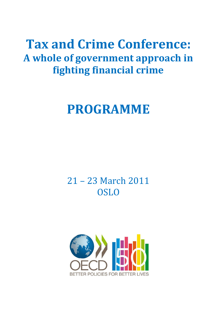## **Tax and Crime Conference: A whole of government approach in fighting financial crime**

# **PROGRAMME**

21 – 23 March 2011 **OSLO** 

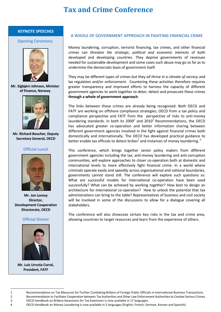#### **KEYNOTE SPEECHES**

#### **Opening Ceremony**



**Mr. Sigbjørn Johnsen, Minister of Finance, Norway**



**Mr. Richard Boucher, Deputy Secretary General, OECD**

#### **Official Lunch**



**Mr. Jon Lomoy Director, Development Cooperation Directorate, OECD**

#### **Official Dinner**



**Mr. Luis Urrutia Corral, President, FATF**

l

#### **A WHOLE OF GOVERNMENT APPROACH IN FIGHTING FINANCIAL CRIME**

Money laundering, corruption, terrorist financing, tax crimes, and other financial crimes can *threaten the strategic, political and economic interests* of both developed and developing countries. They deprive governments of revenues needed for sustainable development and some cases such abuse may go so far as to undermine the democratic basis of government itself.

They may be different types of crimes but they *all thrive in a climate of secrecy* and lax regulation and/or enforcement. Countering these activities therefore requires greater transparency and improved efforts to harness the capacity of different government agencies to work together to deter, detect and prosecute these crimes **through a whole of government approach**.

The links between these crimes are already being recognized. Both OECD and FATF are working on offshore compliance strategies; OECD from a tax policy and compliance perspective and FATF from the perspective of risks to anti-money laundering standards. In both its 2009<sup>1</sup> and 2010<sup>2</sup> Recommendations, the OECD has advocated greater co-operation and better information sharing between different government agencies involved in the fight against financial crimes both domestically and internationally. The OECD has developed practical guidance to better enable tax officials to detect bribes<sup>3</sup> and instances of money laundering.<sup>4</sup>

This conference, which brings together senior policy makers from different government agencies including the tax, anti-money laundering and anti-corruption communities, will explore approaches to closer co-operation both at domestic and international levels to more effectively fight financial crime. In a world where criminals operate easily and speedily across organisational and national boundaries, governments cannot stand still. The conference will explore such questions as: What are successful models for international co-operation have been used successfully? What can be achieved by working together? How best to design an architecture for international co-operation? How to unlock the potential that tax administrations can bring to the table? Representatives of business and civil society will be involved in some of the discussions to allow for a dialogue covering all stakeholders.

The conference will also showcase certain key risks in the tax and crime area, allowing countries to target resources and learn from the experience of others.

<sup>1</sup> Recommendation on Tax Measures for Further Combating Bribery of Foreign Public Officials in International Business Transactions.

<sup>2</sup> Recommendation to Facilitate Cooperation between Tax Authorities and Other Law Enforcement Authorities to Combat Serious Crimes. 3 OECD Handbook on [Bribery Awareness for Tax Examiners](http://www.oecd.org/dataoecd/20/20/37131825.pdf) is now available in 17 languages.

<sup>4</sup> OECD Handbook on [Money Laundering](http://www.oecd.org/dataoecd/20/20/37131825.pdf) is now available in 5 languages (English, French, German, Korean and Spanish).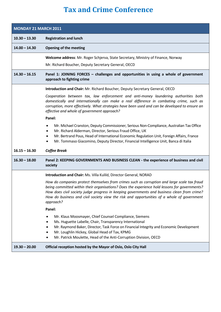| <b>MONDAY 21 MARCH 2011</b> |                                                                                                                                                                                                                                                                                                                                                                                                         |  |
|-----------------------------|---------------------------------------------------------------------------------------------------------------------------------------------------------------------------------------------------------------------------------------------------------------------------------------------------------------------------------------------------------------------------------------------------------|--|
| $10.30 - 13.30$             | <b>Registration and lunch</b>                                                                                                                                                                                                                                                                                                                                                                           |  |
| $14.00 - 14.30$             | <b>Opening of the meeting</b>                                                                                                                                                                                                                                                                                                                                                                           |  |
|                             | Welcome address: Mr. Roger Schjerva, State Secretary, Ministry of Finance, Norway                                                                                                                                                                                                                                                                                                                       |  |
|                             | Mr. Richard Boucher, Deputy Secretary General, OECD                                                                                                                                                                                                                                                                                                                                                     |  |
| $14.30 - 16.15$             | Panel 1: JOINING FORCES - challenges and opportunities in using a whole of government<br>approach to fighting crime                                                                                                                                                                                                                                                                                     |  |
|                             | Introduction and Chair: Mr. Richard Boucher, Deputy Secretary General, OECD                                                                                                                                                                                                                                                                                                                             |  |
|                             | Cooperation between tax, law enforcement and anti-money laundering authorities both<br>domestically and internationally can make a real difference in combating crime, such as<br>corruption, more effectively. What strategies have been used and can be developed to ensure an<br>effective and whole of government approach?                                                                         |  |
|                             | Panel:                                                                                                                                                                                                                                                                                                                                                                                                  |  |
|                             | Mr. Michael Cranston, Deputy Commissioner, Serious Non-Compliance, Australian Tax Office<br>$\bullet$<br>Mr. Richard Alderman, Director, Serious Fraud Office, UK<br>Mr. Bertrand Pous, Head of International Economic Regulation Unit, Foreign Affairs, France<br>Mr. Tommaso Giacomino, Deputy Director, Financial Intelligence Unit, Banca di Italia                                                 |  |
| $16.15 - 16.30$             | <b>Coffee Break</b>                                                                                                                                                                                                                                                                                                                                                                                     |  |
| $16.30 - 18.00$             | Panel 2: KEEPING GOVERNMENTS AND BUSINESS CLEAN - the experience of business and civil<br>society                                                                                                                                                                                                                                                                                                       |  |
|                             | Introduction and Chair: Ms. Villa Kulild, Director General, NORAD                                                                                                                                                                                                                                                                                                                                       |  |
|                             | How do companies protect themselves from crimes such as corruption and large scale tax fraud<br>being committed within their organisations? Does the experience hold lessons for governments?<br>How does civil society judge progress in keeping governments and business clean from crime?<br>How do business and civil society view the risk and opportunities of a whole of government<br>approach? |  |
|                             | Panel:                                                                                                                                                                                                                                                                                                                                                                                                  |  |
|                             | Mr. Klaus Moosmayer, Chief Counsel Compliance, Siemens<br>Ms. Huguette Labelle, Chair, Transparency International<br>Mr. Raymond Baker, Director, Task Force on Financial Integrity and Economic Development<br>Mr. Loughlin Hickey, Global Head of Tax, KPMG<br>Mr. Patrick Moulette, Head of the Anti-Corruption Division, OECD                                                                       |  |
| $19.30 - 20.00$             | Official reception hosted by the Mayor of Oslo, Oslo City Hall                                                                                                                                                                                                                                                                                                                                          |  |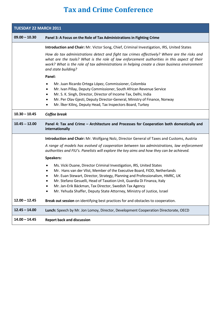| TUESDAY 22 MARCH 2011 |                                                                                                                                                                                                                                                                                                                                                                                                                                                          |  |
|-----------------------|----------------------------------------------------------------------------------------------------------------------------------------------------------------------------------------------------------------------------------------------------------------------------------------------------------------------------------------------------------------------------------------------------------------------------------------------------------|--|
| $09.00 - 10.30$       | Panel 3: A Focus on the Role of Tax Administrations in Fighting Crime                                                                                                                                                                                                                                                                                                                                                                                    |  |
|                       | Introduction and Chair: Mr. Victor Song, Chief, Criminal Investigation, IRS, United States                                                                                                                                                                                                                                                                                                                                                               |  |
|                       | How do tax administrations detect and fight tax crimes effectively? Where are the risks and<br>what are the tools? What is the role of law enforcement authorities in this aspect of their<br>work? What is the role of tax administrations in helping create a clean business environment<br>and state building?                                                                                                                                        |  |
|                       | Panel:                                                                                                                                                                                                                                                                                                                                                                                                                                                   |  |
|                       | Mr. Juan Ricardo Ortega López, Commissioner, Colombia<br>Mr. Ivan Pillay, Deputy Commissioner, South African Revenue Service<br>٠<br>Mr. S. K. Singh, Director, Director of Income Tax, Delhi, India<br>٠<br>Mr. Per Olav Gjesti, Deputy Director-General, Ministry of Finance, Norway<br>٠<br>Mr. İlker Kilinç, Deputy Head, Tax Inspectors Board, Turkey<br>٠                                                                                          |  |
| $10.30 - 10.45$       | Coffee break                                                                                                                                                                                                                                                                                                                                                                                                                                             |  |
| $10.45 - 12.00$       | Panel 4: Tax and Crime - Architecture and Processes for Cooperation both domestically and<br>internationally                                                                                                                                                                                                                                                                                                                                             |  |
|                       | Introduction and Chair: Mr. Wolfgang Nolz, Director General of Taxes and Customs, Austria                                                                                                                                                                                                                                                                                                                                                                |  |
|                       | A range of models has evolved of cooperation between tax administrations, law enforcement<br>authorities and FIU's. Panelists will explore the key aims and how they can be achieved.                                                                                                                                                                                                                                                                    |  |
|                       | <b>Speakers:</b>                                                                                                                                                                                                                                                                                                                                                                                                                                         |  |
|                       | Ms. Vicki Duane, Director Criminal Investigation, IRS, United States<br>Mr. Hans van der Vlist, Member of the Executive Board, FIOD, Netherlands<br>٠<br>Mr. Euan Stewart, Director, Strategy, Planning and Professionalism, HMRC, UK<br>٠<br>Mr. Stefano Gesuelli, Head of Taxation Unit, Guardia Di Finanza, Italy<br>Mr. Jan-Erik Bäckman, Tax Director, Swedish Tax Agency<br>Mr. Yehuda Shaffer, Deputy State Attorney, Ministry of Justice, Israel |  |
| $12.00 - 12.45$       | Break out session on identifying best practices for and obstacles to cooperation.                                                                                                                                                                                                                                                                                                                                                                        |  |
| $12.45 - 14.00$       | Lunch: Speech by Mr. Jon Lomoy, Director, Development Cooperation Directorate, OECD                                                                                                                                                                                                                                                                                                                                                                      |  |
| $14.00 - 14.45$       | <b>Report back and discussion</b>                                                                                                                                                                                                                                                                                                                                                                                                                        |  |